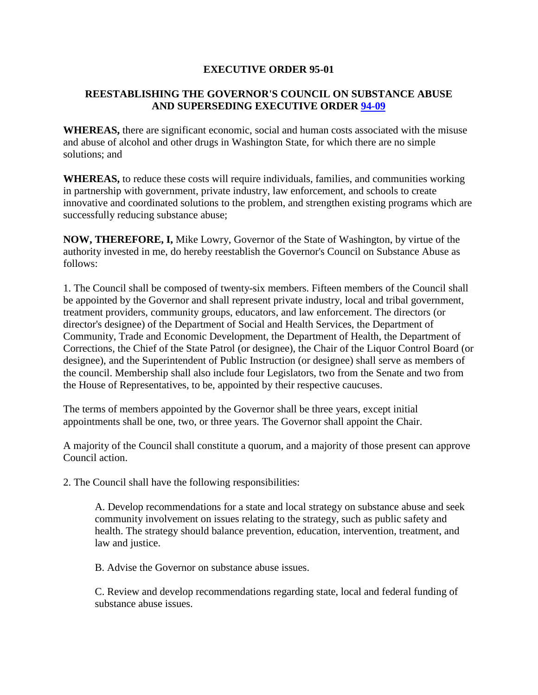## **EXECUTIVE ORDER 95-01**

## **REESTABLISHING THE GOVERNOR'S COUNCIL ON SUBSTANCE ABUSE AND SUPERSEDING EXECUTIVE ORDER [94-09](http://www.governor.wa.gov/office/execorders/eoarchive/eo94-09.htm)**

**WHEREAS,** there are significant economic, social and human costs associated with the misuse and abuse of alcohol and other drugs in Washington State, for which there are no simple solutions; and

**WHEREAS,** to reduce these costs will require individuals, families, and communities working in partnership with government, private industry, law enforcement, and schools to create innovative and coordinated solutions to the problem, and strengthen existing programs which are successfully reducing substance abuse;

**NOW, THEREFORE, I,** Mike Lowry, Governor of the State of Washington, by virtue of the authority invested in me, do hereby reestablish the Governor's Council on Substance Abuse as follows:

1. The Council shall be composed of twenty-six members. Fifteen members of the Council shall be appointed by the Governor and shall represent private industry, local and tribal government, treatment providers, community groups, educators, and law enforcement. The directors (or director's designee) of the Department of Social and Health Services, the Department of Community, Trade and Economic Development, the Department of Health, the Department of Corrections, the Chief of the State Patrol (or designee), the Chair of the Liquor Control Board (or designee), and the Superintendent of Public Instruction (or designee) shall serve as members of the council. Membership shall also include four Legislators, two from the Senate and two from the House of Representatives, to be, appointed by their respective caucuses.

The terms of members appointed by the Governor shall be three years, except initial appointments shall be one, two, or three years. The Governor shall appoint the Chair.

A majority of the Council shall constitute a quorum, and a majority of those present can approve Council action.

2. The Council shall have the following responsibilities:

A. Develop recommendations for a state and local strategy on substance abuse and seek community involvement on issues relating to the strategy, such as public safety and health. The strategy should balance prevention, education, intervention, treatment, and law and justice.

B. Advise the Governor on substance abuse issues.

C. Review and develop recommendations regarding state, local and federal funding of substance abuse issues.